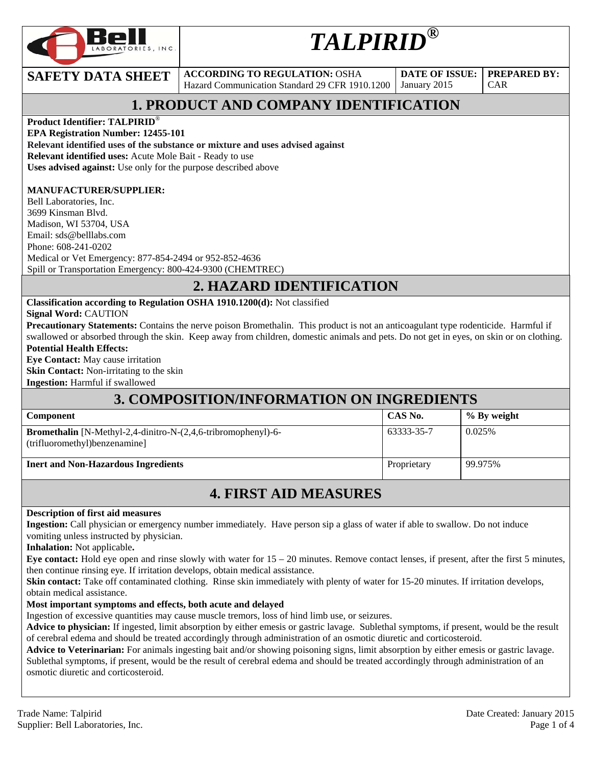

# *TALPIRID®*

**SAFETY DATA SHEET** ACCORDING TO REGULATION: OSHA Hazard Communication Standard 29 CFR 1910.1200

**DATE OF ISSUE:**  January 2015

CAR

**PREPARED BY:** 

## **1. PRODUCT AND COMPANY IDENTIFICATION**

**Product Identifier: TALPIRID**®

**EPA Registration Number: 12455-101** 

**Relevant identified uses of the substance or mixture and uses advised against**

**Relevant identified uses:** Acute Mole Bait - Ready to use

**Uses advised against:** Use only for the purpose described above

#### **MANUFACTURER/SUPPLIER:**

Bell Laboratories, Inc. 3699 Kinsman Blvd. Madison, WI 53704, USA Email: sds@belllabs.com Phone: 608-241-0202 Medical or Vet Emergency: 877-854-2494 or 952-852-4636 Spill or Transportation Emergency: 800-424-9300 (CHEMTREC)

#### **2. HAZARD IDENTIFICATION**

**Classification according to Regulation OSHA 1910.1200(d):** Not classified

**Signal Word:** CAUTION

**Precautionary Statements:** Contains the nerve poison Bromethalin. This product is not an anticoagulant type rodenticide. Harmful if swallowed or absorbed through the skin. Keep away from children, domestic animals and pets. Do not get in eyes, on skin or on clothing. **Potential Health Effects:** 

**Eye Contact:** May cause irritation **Skin Contact:** Non-irritating to the skin

**Ingestion:** Harmful if swallowed

### **3. COMPOSITION/INFORMATION ON INGREDIENTS**

| <b>Component</b>                                                                                          | CAS No.     | $\%$ By weight |
|-----------------------------------------------------------------------------------------------------------|-------------|----------------|
| <b>Bromethalin</b> [N-Methyl-2,4-dinitro-N- $(2,4,6$ -tribromophenyl)-6-<br>(trifluoromethyl)benzenamine] | 63333-35-7  | 0.025%         |
| <b>Inert and Non-Hazardous Ingredients</b>                                                                | Proprietary | 99.975%        |

### **4. FIRST AID MEASURES**

#### **Description of first aid measures**

**Ingestion:** Call physician or emergency number immediately. Have person sip a glass of water if able to swallow. Do not induce vomiting unless instructed by physician.

**Inhalation:** Not applicable**.** 

**Eye contact:** Hold eye open and rinse slowly with water for 15 – 20 minutes. Remove contact lenses, if present, after the first 5 minutes, then continue rinsing eye. If irritation develops, obtain medical assistance.

**Skin contact:** Take off contaminated clothing. Rinse skin immediately with plenty of water for 15-20 minutes. If irritation develops, obtain medical assistance.

#### **Most important symptoms and effects, both acute and delayed**

Ingestion of excessive quantities may cause muscle tremors, loss of hind limb use, or seizures.

**Advice to physician:** If ingested, limit absorption by either emesis or gastric lavage. Sublethal symptoms, if present, would be the result of cerebral edema and should be treated accordingly through administration of an osmotic diuretic and corticosteroid.

**Advice to Veterinarian:** For animals ingesting bait and/or showing poisoning signs, limit absorption by either emesis or gastric lavage. Sublethal symptoms, if present, would be the result of cerebral edema and should be treated accordingly through administration of an osmotic diuretic and corticosteroid.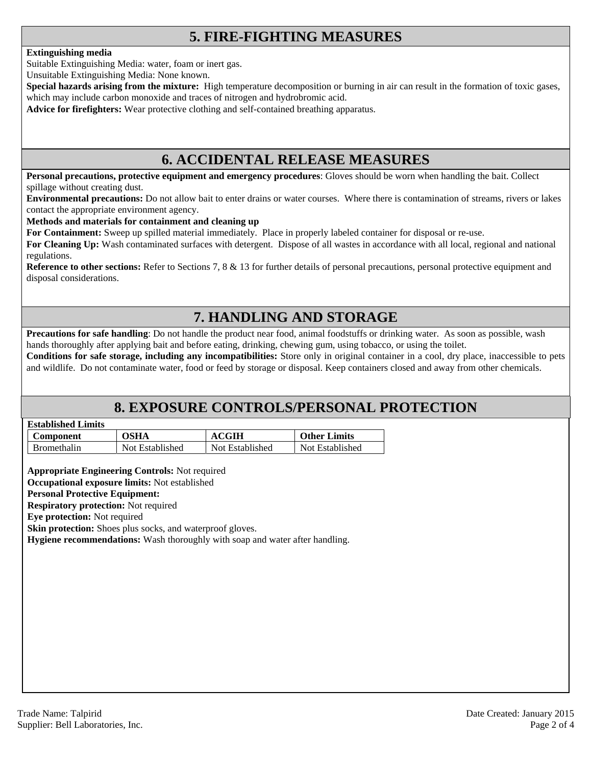### **5. FIRE-FIGHTING MEASURES**

#### **Extinguishing media**

Suitable Extinguishing Media: water, foam or inert gas.

Unsuitable Extinguishing Media: None known.

**Special hazards arising from the mixture:** High temperature decomposition or burning in air can result in the formation of toxic gases, which may include carbon monoxide and traces of nitrogen and hydrobromic acid.

**Advice for firefighters:** Wear protective clothing and self-contained breathing apparatus.

#### **6. ACCIDENTAL RELEASE MEASURES**

**Personal precautions, protective equipment and emergency procedures**: Gloves should be worn when handling the bait. Collect spillage without creating dust.

**Environmental precautions:** Do not allow bait to enter drains or water courses. Where there is contamination of streams, rivers or lakes contact the appropriate environment agency.

#### **Methods and materials for containment and cleaning up**

**For Containment:** Sweep up spilled material immediately. Place in properly labeled container for disposal or re-use.

**For Cleaning Up:** Wash contaminated surfaces with detergent. Dispose of all wastes in accordance with all local, regional and national regulations.

**Reference to other sections:** Refer to Sections 7, 8 & 13 for further details of personal precautions, personal protective equipment and disposal considerations.

### **7. HANDLING AND STORAGE**

**Precautions for safe handling**: Do not handle the product near food, animal foodstuffs or drinking water. As soon as possible, wash hands thoroughly after applying bait and before eating, drinking, chewing gum, using tobacco, or using the toilet.

**Conditions for safe storage, including any incompatibilities:** Store only in original container in a cool, dry place, inaccessible to pets and wildlife. Do not contaminate water, food or feed by storage or disposal. Keep containers closed and away from other chemicals.

#### **8. EXPOSURE CONTROLS/PERSONAL PROTECTION**

| <b>Established Limits</b> |  |
|---------------------------|--|
|                           |  |

| <b>Component</b>   | OSHA            | CGIH            | <b>Other Limits</b> |
|--------------------|-----------------|-----------------|---------------------|
| <b>Bromethalin</b> | Not Established | Not Established | Not Established     |

**Appropriate Engineering Controls:** Not required

**Occupational exposure limits:** Not established

#### **Personal Protective Equipment:**

**Respiratory protection:** Not required

**Eye protection:** Not required

**Skin protection:** Shoes plus socks, and waterproof gloves.

**Hygiene recommendations:** Wash thoroughly with soap and water after handling.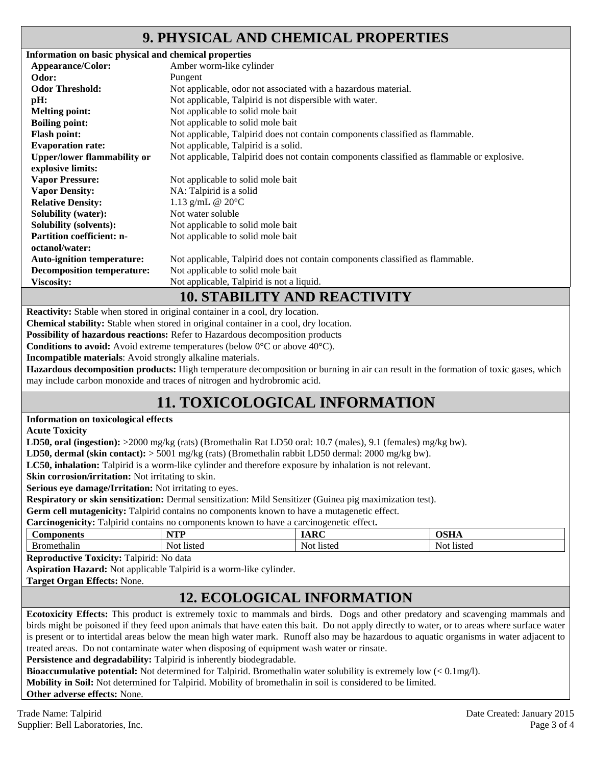#### **9. PHYSICAL AND CHEMICAL PROPERTIES**

| Information on basic physical and chemical properties |                                                                                            |
|-------------------------------------------------------|--------------------------------------------------------------------------------------------|
| Appearance/Color:                                     | Amber worm-like cylinder                                                                   |
| Odor:                                                 | Pungent                                                                                    |
| <b>Odor Threshold:</b>                                | Not applicable, odor not associated with a hazardous material.                             |
| pH:                                                   | Not applicable, Talpirid is not dispersible with water.                                    |
| <b>Melting point:</b>                                 | Not applicable to solid mole bait                                                          |
| <b>Boiling point:</b>                                 | Not applicable to solid mole bait                                                          |
| <b>Flash point:</b>                                   | Not applicable, Talpirid does not contain components classified as flammable.              |
| <b>Evaporation rate:</b>                              | Not applicable, Talpirid is a solid.                                                       |
| <b>Upper/lower flammability or</b>                    | Not applicable, Talpirid does not contain components classified as flammable or explosive. |
| explosive limits:                                     |                                                                                            |
| <b>Vapor Pressure:</b>                                | Not applicable to solid mole bait                                                          |
| <b>Vapor Density:</b>                                 | NA: Talpirid is a solid                                                                    |
| <b>Relative Density:</b>                              | 1.13 g/mL @ $20^{\circ}$ C                                                                 |
| <b>Solubility (water):</b>                            | Not water soluble                                                                          |
| <b>Solubility (solvents):</b>                         | Not applicable to solid mole bait                                                          |
| <b>Partition coefficient: n-</b>                      | Not applicable to solid mole bait                                                          |
| octanol/water:                                        |                                                                                            |
| <b>Auto-ignition temperature:</b>                     | Not applicable, Talpirid does not contain components classified as flammable.              |
| <b>Decomposition temperature:</b>                     | Not applicable to solid mole bait                                                          |
| <b>Viscosity:</b>                                     | Not applicable, Talpirid is not a liquid.                                                  |
|                                                       | <b>10. STABILITY AND REACTIVITY</b>                                                        |

**Reactivity:** Stable when stored in original container in a cool, dry location.

**Chemical stability:** Stable when stored in original container in a cool, dry location.

**Possibility of hazardous reactions:** Refer to Hazardous decomposition products

**Conditions to avoid:** Avoid extreme temperatures (below 0°C or above 40°C).

**Incompatible materials**: Avoid strongly alkaline materials.

**Hazardous decomposition products:** High temperature decomposition or burning in air can result in the formation of toxic gases, which may include carbon monoxide and traces of nitrogen and hydrobromic acid.

### **11. TOXICOLOGICAL INFORMATION**

#### **Information on toxicological effects**

**Acute Toxicity** 

**LD50, oral (ingestion):** >2000 mg/kg (rats) (Bromethalin Rat LD50 oral: 10.7 (males), 9.1 (females) mg/kg bw).

**LD50, dermal (skin contact):** > 5001 mg/kg (rats) (Bromethalin rabbit LD50 dermal: 2000 mg/kg bw).

**LC50, inhalation:** Talpirid is a worm-like cylinder and therefore exposure by inhalation is not relevant.

**Skin corrosion/irritation:** Not irritating to skin.

**Serious eye damage/Irritation:** Not irritating to eyes.

**Respiratory or skin sensitization:** Dermal sensitization: Mild Sensitizer (Guinea pig maximization test).

**Germ cell mutagenicity:** Talpirid contains no components known to have a mutagenetic effect.

**Carcinogenicity:** Talpirid contains no components known to have a carcinogenetic effect**.** 

| Components | VTT    | $\overline{\phantom{a}}$ | $\sim$ $\sim$ $\sim$ |
|------------|--------|--------------------------|----------------------|
|            | .      | m                        | <b>UDILA</b>         |
| thalin     | 11sted | Not                      | Not.                 |
|            | NOI    | <b>listed</b>            | <b>listed</b>        |

**Reproductive Toxicity:** Talpirid: No data

**Aspiration Hazard:** Not applicable Talpirid is a worm-like cylinder.

**Target Organ Effects:** None.

### **12. ECOLOGICAL INFORMATION**

**Ecotoxicity Effects:** This product is extremely toxic to mammals and birds. Dogs and other predatory and scavenging mammals and birds might be poisoned if they feed upon animals that have eaten this bait. Do not apply directly to water, or to areas where surface water is present or to intertidal areas below the mean high water mark. Runoff also may be hazardous to aquatic organisms in water adjacent to treated areas. Do not contaminate water when disposing of equipment wash water or rinsate.

**Persistence and degradability:** Talpirid is inherently biodegradable.

**Bioaccumulative potential:** Not determined for Talpirid. Bromethalin water solubility is extremely low (< 0.1mg/l).

**Mobility in Soil:** Not determined for Talpirid. Mobility of bromethalin in soil is considered to be limited.

**Other adverse effects:** None.